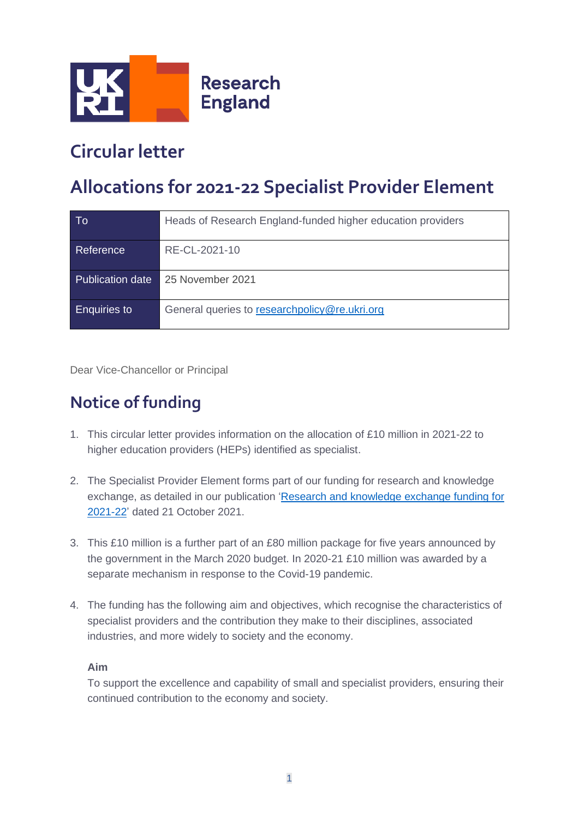

## **Circular letter**

# **Allocations for 2021-22 Specialist Provider Element**

| To                      | Heads of Research England-funded higher education providers |
|-------------------------|-------------------------------------------------------------|
| Reference               | RE-CL-2021-10                                               |
| <b>Publication date</b> | 25 November 2021                                            |
| <b>Enquiries to</b>     | General queries to researchpolicy@re.ukri.org               |

Dear Vice-Chancellor or Principal

### **Notice of funding**

- 1. This circular letter provides information on the allocation of £10 million in 2021-22 to higher education providers (HEPs) identified as specialist.
- 2. The Specialist Provider Element forms part of our funding for research and knowledge exchange, as detailed in our publication ['Research and knowledge exchange funding for](https://www.ukri.org/publications/research-england-funding-allocations-2021-to-2022/)  [2021-22'](https://www.ukri.org/publications/research-england-funding-allocations-2021-to-2022/) dated 21 October 2021.
- 3. This £10 million is a further part of an £80 million package for five years announced by the government in the March 2020 budget. In 2020-21 £10 million was awarded by a separate mechanism in response to the Covid-19 pandemic.
- 4. The funding has the following aim and objectives, which recognise the characteristics of specialist providers and the contribution they make to their disciplines, associated industries, and more widely to society and the economy.

#### **Aim**

To support the excellence and capability of small and specialist providers, ensuring their continued contribution to the economy and society.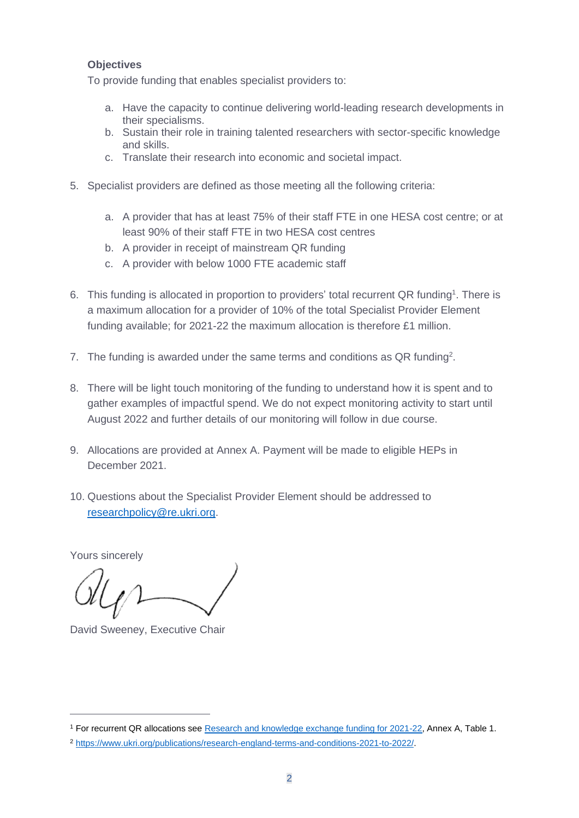#### **Objectives**

To provide funding that enables specialist providers to:

- a. Have the capacity to continue delivering world-leading research developments in their specialisms.
- b. Sustain their role in training talented researchers with sector-specific knowledge and skills.
- c. Translate their research into economic and societal impact.
- 5. Specialist providers are defined as those meeting all the following criteria:
	- a. A provider that has at least 75% of their staff FTE in one HESA cost centre; or at least 90% of their staff FTE in two HESA cost centres
	- b. A provider in receipt of mainstream QR funding
	- c. A provider with below 1000 FTE academic staff
- 6. This funding is allocated in proportion to providers' total recurrent QR funding<sup>1</sup>. There is a maximum allocation for a provider of 10% of the total Specialist Provider Element funding available; for 2021-22 the maximum allocation is therefore £1 million.
- 7. The funding is awarded under the same terms and conditions as  $QR$  funding<sup>2</sup>.
- 8. There will be light touch monitoring of the funding to understand how it is spent and to gather examples of impactful spend. We do not expect monitoring activity to start until August 2022 and further details of our monitoring will follow in due course.
- 9. Allocations are provided at Annex A. Payment will be made to eligible HEPs in December 2021.
- 10. Questions about the Specialist Provider Element should be addressed to [researchpolicy@re.ukri.org.](mailto:researchpolicy@re.ukri.org?subject=Specialist%20Provider%20Element%20funding)

Yours sincerely

David Sweeney, Executive Chair

<sup>1</sup> For recurrent QR allocations see [Research and knowledge exchange funding for 2021-22,](https://www.ukri.org/publications/research-england-funding-allocations-2021-to-2022/) Annex A, Table 1.

<sup>2</sup> [https://www.ukri.org/publications/research-england-terms-and-conditions-2021-to-2022/.](https://www.ukri.org/publications/research-england-terms-and-conditions-2021-to-2022/)